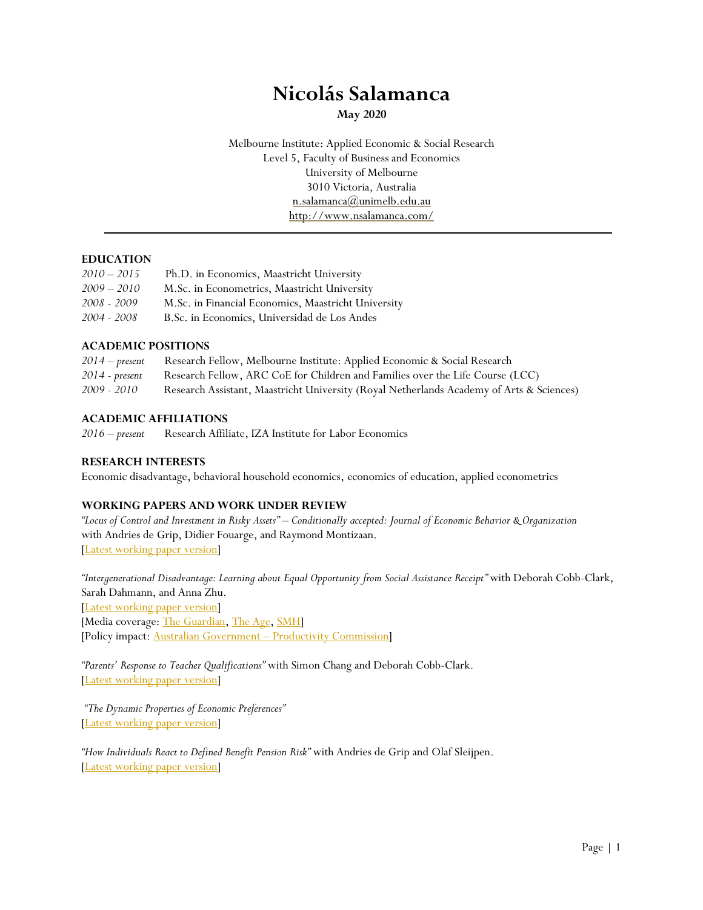# **Nicolás Salamanca**

**May 2020**

Melbourne Institute: Applied Economic & Social Research Level 5, Faculty of Business and Economics University of Melbourne 3010 Victoria, Australia [n.salamanca@unimelb.edu.au](mailto:n.salamanca@unimelb.edu.au) http://www.nsalamanca.com/

# **EDUCATION**

| $2010 - 2015$ | Ph.D. in Economics, Maastricht University           |
|---------------|-----------------------------------------------------|
| $2009 - 2010$ | M.Sc. in Econometrics, Maastricht University        |
| 2008 - 2009   | M.Sc. in Financial Economics, Maastricht University |
| 2004 - 2008   | B.Sc. in Economics, Universidad de Los Andes        |
|               |                                                     |

#### **ACADEMIC POSITIONS**

| $2014$ – present | Research Fellow, Melbourne Institute: Applied Economic & Social Research                 |
|------------------|------------------------------------------------------------------------------------------|
| $2014$ - present | Research Fellow, ARC CoE for Children and Families over the Life Course (LCC)            |
| 2009 - 2010      | Research Assistant, Maastricht University (Royal Netherlands Academy of Arts & Sciences) |

#### **ACADEMIC AFFILIATIONS**

*2016 – present* Research Affiliate, IZA Institute for Labor Economics

#### **RESEARCH INTERESTS**

Economic disadvantage, behavioral household economics, economics of education, applied econometrics

#### **WORKING PAPERS AND WORK UNDER REVIEW**

*"Locus of Control and Investment in Risky Assets" – Conditionally accepted: Journal of Economic Behavior & Organization* with Andries de Grip, Didier Fouarge, and Raymond Montizaan. [\[Latest working paper version\]](http://ftp.iza.org/dp10407.pdf)

*"Intergenerational Disadvantage: Learning about Equal Opportunity from Social Assistance Receipt"* with Deborah Cobb-Clark, Sarah Dahmann, and Anna Zhu.

[\[Latest working paper version\]](http://ftp.iza.org/dp11070.pdf)

[Media coverage[: The Guardian,](https://www.theguardian.com/australia-news/2017/oct/16/children-of-disabled-or-single-parents-more-likely-to-claim-welfare-themselves-report) [The Age,](https://www.theage.com.au/national/centrelink-welfare-payment-data-reveals-intergenerational-trap-20171017-gz2prr.html) [SMH\]](http://www.smh.com.au/federal-politics/political-news/staggering-young-people-twice-as-likely-to-be-on-centrelink-benefits-if-their-parents-were-20171015-gz15yq.html) [Policy impact: Australian Government – [Productivity Commission\]](https://www.pc.gov.au/research/completed/rising-inequality)

*"Parents' Response to Teacher Qualifications"* with Simon Chang and Deborah Cobb-Clark. [\[Latest working paper version\]](http://ftp.iza.org/dp13065.pdf)

*"The Dynamic Properties of Economic Preferences"* [\[Latest working paper version\]](https://melbourneinstitute.unimelb.edu.au/publications/working-papers/search/result?paper=2749110)

*"How Individuals React to Defined Benefit Pension Risk"* with Andries de Grip and Olaf Sleijpen. [\[Latest working paper version\]](http://ftp.iza.org/dp13077.pdf)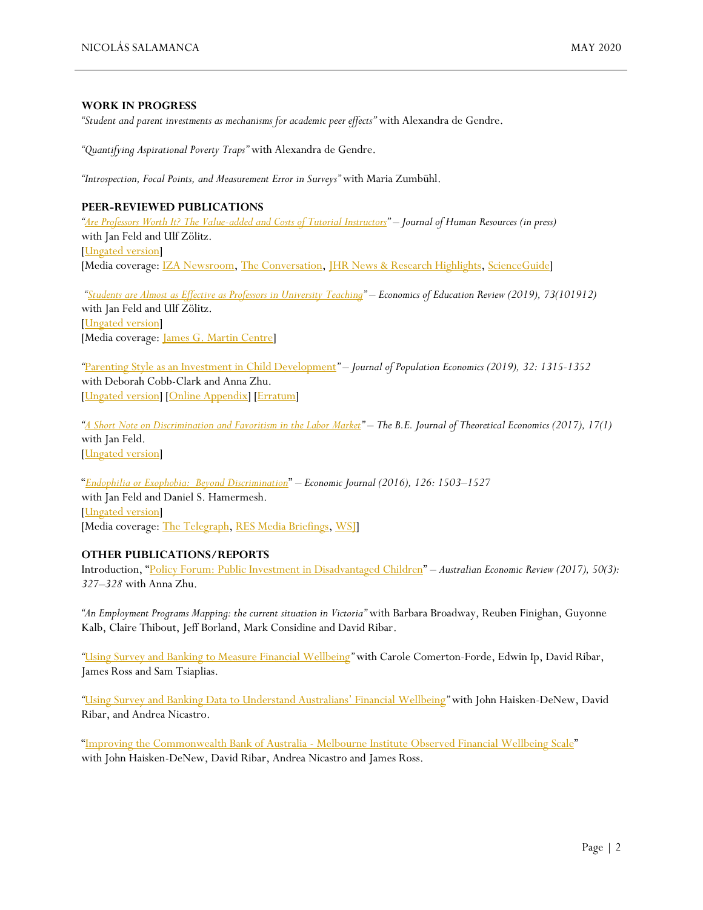#### **WORK IN PROGRESS**

*"Student and parent investments as mechanisms for academic peer effects"* with Alexandra de Gendre.

*"Quantifying Aspirational Poverty Traps"* with Alexandra de Gendre.

*"Introspection, Focal Points, and Measurement Error in Surveys"* with Maria Zumbühl.

#### **PEER-REVIEWED PUBLICATIONS**

*"[Are Professors Worth It? The Value-added and Costs of Tutorial Instructors](http://jhr.uwpress.org/content/early/2018/12/05/jhr.55.3.0417-8752R2.abstract)"* – *Journal of Human Resources (in press)* with Jan Feld and Ulf Zölitz. [\[Ungated version\]](http://ftp.iza.org/dp11975.pdf) [Media coverage[: IZA Newsroom,](https://newsroom.iza.org/en/archive/research/are-professors-good-teachers/) [The Conversation,](https://theconversation.com/research-shows-students-are-as-good-as-professors-in-tutorial-teaching-106845) [JHR News & Research Highlights,](https://uwpress.wisc.edu/jhr-news/?p=559) [ScienceGuide\]](https://www.scienceguide.nl/2019/09/are-professors-really-worth-it/)

*"[Students are Almost as Effective as Professors in University Teaching](https://doi.org/10.1016/j.econedurev.2019.101912)" – Economics of Education Review (2019), 73(101912)* with Jan Feld and Ulf Zölitz. [\[Ungated version\]](http://ftp.iza.org/dp12491.pdf) [Media coverage[: James G. Martin Centre\]](https://www.jamesgmartin.center/2019/09/the-better-teacher-a-professor-or-another-student/#disqus_thread)

*"*[Parenting Style as an Investment in Child Development](https://doi.org/10.1007/s00148-018-0703-2)*"* – *Journal of Population Economics (2019), 32: 1315-1352* with Deborah Cobb-Clark and Anna Zhu. [\[Ungated version\]](http://www.nsalamanca.com/wp-content/uploads/CSZ2018.pdf) [\[Online Appendix\]](http://www.nsalamanca.com/wp-content/uploads/CSZ2018_Appendix.pdf) [\[Erratum\]](https://link.springer.com/article/10.1007/s00148-020-00775-5?wt_mc=Internal.Event.1.SEM.ArticleAuthorOnlineFirst&utm_source=ArticleAuthorOnlineFirst&utm_medium=email&utm_content=AA_en_06082018&ArticleAuthorOnlineFirst_20200412)

*"[A Short Note on Discrimination and Favoritism in the Labor Market](https://www.degruyter.com/view/j/bejte.2017.17.issue-1/bejte-2016-0133/bejte-2016-0133.xml)"* – *The B.E. Journal of Theoretical Economics (2017), 17(1)* with Jan Feld. [\[Ungated version\]](http://ftp.iza.org/dp10291.pdf)

"*[Endophilia or Exophobia: Beyond Discrimination](http://onlinelibrary.wiley.com/doi/10.1111/ecoj.12289/abstract)*" – *Economic Journal (2016), 126: 1503–1527* with Jan Feld and Daniel S. Hamermesh. [\[Ungated](https://gupea.ub.gu.se/bitstream/2077/35795/4/gupea_2077_35795_4.pdf) version] [Media coverage[: The Telegraph,](http://www.telegraph.co.uk/education/2016/08/01/lecturers-give-higher-grades-to-students-who-are-the-same-nation/) [RES Media Briefings,](https://www.res.org.uk/resources-page/favouritism-versus-discrimination--experimental-evidence-from-exam-grading-at-a-dutch-university.html) WSI]

#### **OTHER PUBLICATIONS/REPORTS**

Introduction, "[Policy Forum: Public Investment in Disadvantaged Children](https://onlinelibrary.wiley.com/doi/abs/10.1111/1467-8462.12229)" – *Australian Economic Review (2017), 50(3): 327–328* with Anna Zhu.

*"An Employment Programs Mapping: the current situation in Victoria"* with Barbara Broadway, Reuben Finighan, Guyonne Kalb, Claire Thibout, Jeff Borland, Mark Considine and David Ribar.

*"*[Using Survey and Banking to Measure Financial Wellbeing](https://fbe.unimelb.edu.au/__data/assets/pdf_file/0010/2839429/CBA_MI_Tech_Report_No_1.pdf)*"* with Carole Comerton-Forde, Edwin Ip, David Ribar, James Ross and Sam Tsiaplias.

*"*[Using Survey and Banking Data to Understand Australians' Financial Wellbeing](https://fbe.unimelb.edu.au/__data/assets/pdf_file/0010/2836324/CBA_MI_Tech_Report_No_2.pdf)*"* with John Haisken-DeNew, David Ribar, and Andrea Nicastro.

"Improving the Commonwealth Bank of Australia - [Melbourne Institute Observed Financial Wellbeing Scale](https://fbe.unimelb.edu.au/__data/assets/pdf_file/0009/3045708/CBA-MI-Technical-Report-No-3.pdf)" with John Haisken-DeNew, David Ribar, Andrea Nicastro and James Ross.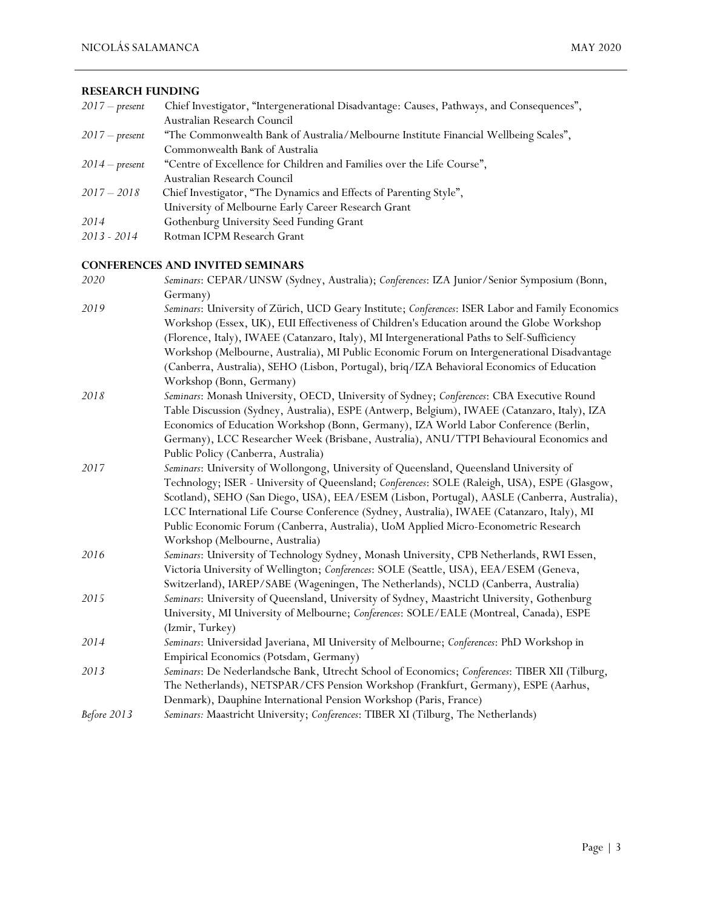#### **RESEARCH FUNDING**

| $2017$ – present | Chief Investigator, "Intergenerational Disadvantage: Causes, Pathways, and Consequences", |
|------------------|-------------------------------------------------------------------------------------------|
|                  | Australian Research Council                                                               |
| $2017$ – present | "The Commonwealth Bank of Australia/Melbourne Institute Financial Wellbeing Scales",      |
|                  | Commonwealth Bank of Australia                                                            |
| $2014$ – present | "Centre of Excellence for Children and Families over the Life Course",                    |
|                  | Australian Research Council                                                               |
| $2017 - 2018$    | Chief Investigator, "The Dynamics and Effects of Parenting Style",                        |
|                  | University of Melbourne Early Career Research Grant                                       |
| 2014             | Gothenburg University Seed Funding Grant                                                  |
| 2013 - 2014      | Rotman ICPM Research Grant                                                                |
|                  |                                                                                           |

# **CONFERENCES AND INVITED SEMINARS**

| 2020        | Seminars: CEPAR/UNSW (Sydney, Australia); Conferences: IZA Junior/Senior Symposium (Bonn,<br>Germany) |
|-------------|-------------------------------------------------------------------------------------------------------|
| 2019        | Seminars: University of Zürich, UCD Geary Institute; Conferences: ISER Labor and Family Economics     |
|             | Workshop (Essex, UK), EUI Effectiveness of Children's Education around the Globe Workshop             |
|             | (Florence, Italy), IWAEE (Catanzaro, Italy), MI Intergenerational Paths to Self-Sufficiency           |
|             | Workshop (Melbourne, Australia), MI Public Economic Forum on Intergenerational Disadvantage           |
|             | (Canberra, Australia), SEHO (Lisbon, Portugal), briq/IZA Behavioral Economics of Education            |
|             | Workshop (Bonn, Germany)                                                                              |
| 2018        | Seminars: Monash University, OECD, University of Sydney; Conferences: CBA Executive Round             |
|             | Table Discussion (Sydney, Australia), ESPE (Antwerp, Belgium), IWAEE (Catanzaro, Italy), IZA          |
|             | Economics of Education Workshop (Bonn, Germany), IZA World Labor Conference (Berlin,                  |
|             | Germany), LCC Researcher Week (Brisbane, Australia), ANU/TTPI Behavioural Economics and               |
|             | Public Policy (Canberra, Australia)                                                                   |
| 2017        | Seminars: University of Wollongong, University of Queensland, Queensland University of                |
|             | Technology; ISER - University of Queensland; Conferences: SOLE (Raleigh, USA), ESPE (Glasgow,         |
|             | Scotland), SEHO (San Diego, USA), EEA/ESEM (Lisbon, Portugal), AASLE (Canberra, Australia),           |
|             | LCC International Life Course Conference (Sydney, Australia), IWAEE (Catanzaro, Italy), MI            |
|             | Public Economic Forum (Canberra, Australia), UoM Applied Micro-Econometric Research                   |
|             | Workshop (Melbourne, Australia)                                                                       |
| 2016        | Seminars: University of Technology Sydney, Monash University, CPB Netherlands, RWI Essen,             |
|             | Victoria University of Wellington; Conferences: SOLE (Seattle, USA), EEA/ESEM (Geneva,                |
|             | Switzerland), IAREP/SABE (Wageningen, The Netherlands), NCLD (Canberra, Australia)                    |
| 2015        | Seminars: University of Queensland, University of Sydney, Maastricht University, Gothenburg           |
|             | University, MI University of Melbourne; Conferences: SOLE/EALE (Montreal, Canada), ESPE               |
|             | (Izmir, Turkey)                                                                                       |
| 2014        | Seminars: Universidad Javeriana, MI University of Melbourne; Conferences: PhD Workshop in             |
|             | Empirical Economics (Potsdam, Germany)                                                                |
| 2013        | Seminars: De Nederlandsche Bank, Utrecht School of Economics; Conferences: TIBER XII (Tilburg,        |
|             | The Netherlands), NETSPAR/CFS Pension Workshop (Frankfurt, Germany), ESPE (Aarhus,                    |
|             | Denmark), Dauphine International Pension Workshop (Paris, France)                                     |
| Before 2013 | Seminars: Maastricht University; Conferences: TIBER XI (Tilburg, The Netherlands)                     |